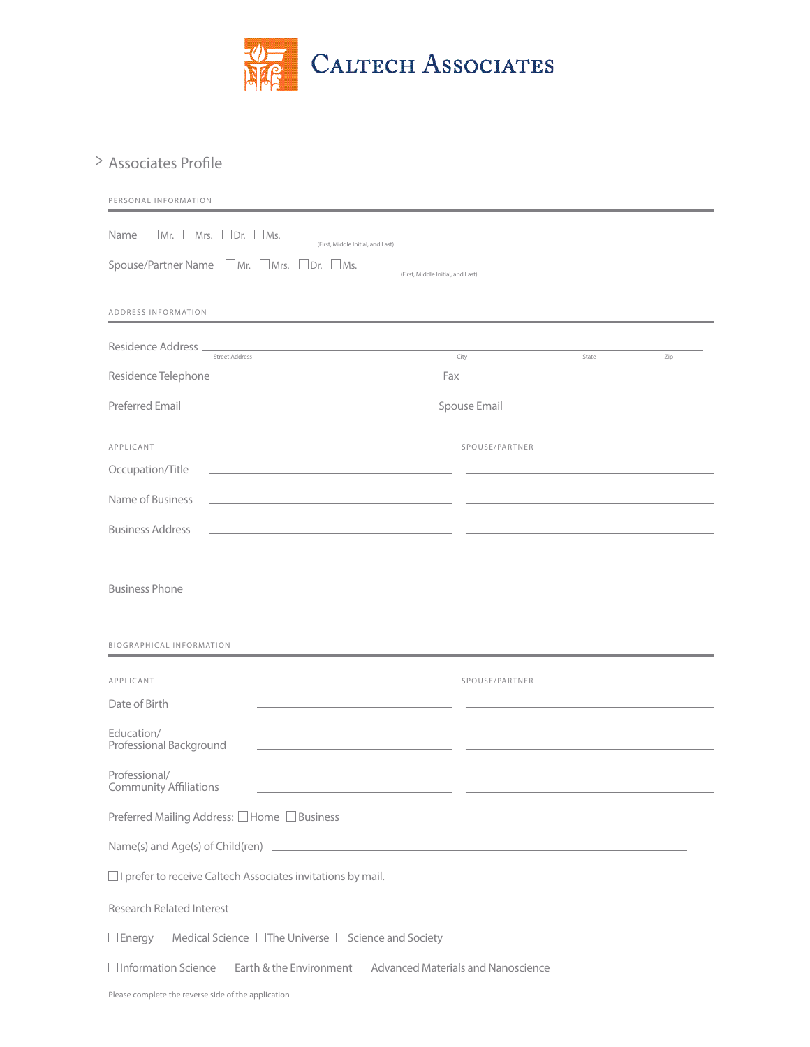

## Associates Profile >

| PERSONAL INFORMATION                                                                                                                             |                |             |     |  |
|--------------------------------------------------------------------------------------------------------------------------------------------------|----------------|-------------|-----|--|
| Name $\Box$ Mr. $\Box$ Mrs. $\Box$ Dr. $\Box$ Ms. $\frac{\Box}{\Box}$ (First, Middle Initial, and Last)                                          |                |             |     |  |
| Spouse/Partner Name □ Mr. □ Mrs. □ Dr. □ Ms. □<br>(First, Middle Initial, and Last)                                                              |                |             |     |  |
| ADDRESS INFORMATION                                                                                                                              |                |             |     |  |
| Residence Address<br>the control of the control of the control of the control of the control of<br><b>Street Address</b>                         | City           | state State | Zip |  |
|                                                                                                                                                  |                |             |     |  |
|                                                                                                                                                  |                |             |     |  |
| APPLICANT                                                                                                                                        | SPOUSE/PARTNER |             |     |  |
| Occupation/Title<br><u> 1989 - Johann Harry Harry Harry Harry Harry Harry Harry Harry Harry Harry Harry Harry Harry Harry Harry Harry</u>        |                |             |     |  |
| Name of Business<br><u> 1980 - John Stein, Amerikaansk politiker (* 1908)</u>                                                                    |                |             |     |  |
| <b>Business Address</b><br><u> 1989 - Johann Stoff, deutscher Stoff, der Stoff, der Stoff, der Stoff, der Stoff, der Stoff, der Stoff, der S</u> |                |             |     |  |
|                                                                                                                                                  |                |             |     |  |
| <b>Business Phone</b><br><u> 1980 - Jan Samuel Barbara, margaret eta idazlea (h. 1980).</u>                                                      |                |             |     |  |
|                                                                                                                                                  |                |             |     |  |
| <b>BIOGRAPHICAL INFORMATION</b>                                                                                                                  |                |             |     |  |
| APPLICANT                                                                                                                                        | SPOUSE/PARTNER |             |     |  |
| Date of Birth                                                                                                                                    |                |             |     |  |
| Education/<br>Professional Background                                                                                                            |                |             |     |  |
| Professional/<br>Community Affiliations                                                                                                          |                |             |     |  |
| Preferred Mailing Address: □Home □Business                                                                                                       |                |             |     |  |
|                                                                                                                                                  |                |             |     |  |
| □ I prefer to receive Caltech Associates invitations by mail.                                                                                    |                |             |     |  |
| <b>Research Related Interest</b>                                                                                                                 |                |             |     |  |
| $\Box$ Energy $\Box$ Medical Science $\Box$ The Universe $\Box$ Science and Society                                                              |                |             |     |  |
| $\square$ Information Science $\square$ Earth & the Environment $\square$ Advanced Materials and Nanoscience                                     |                |             |     |  |